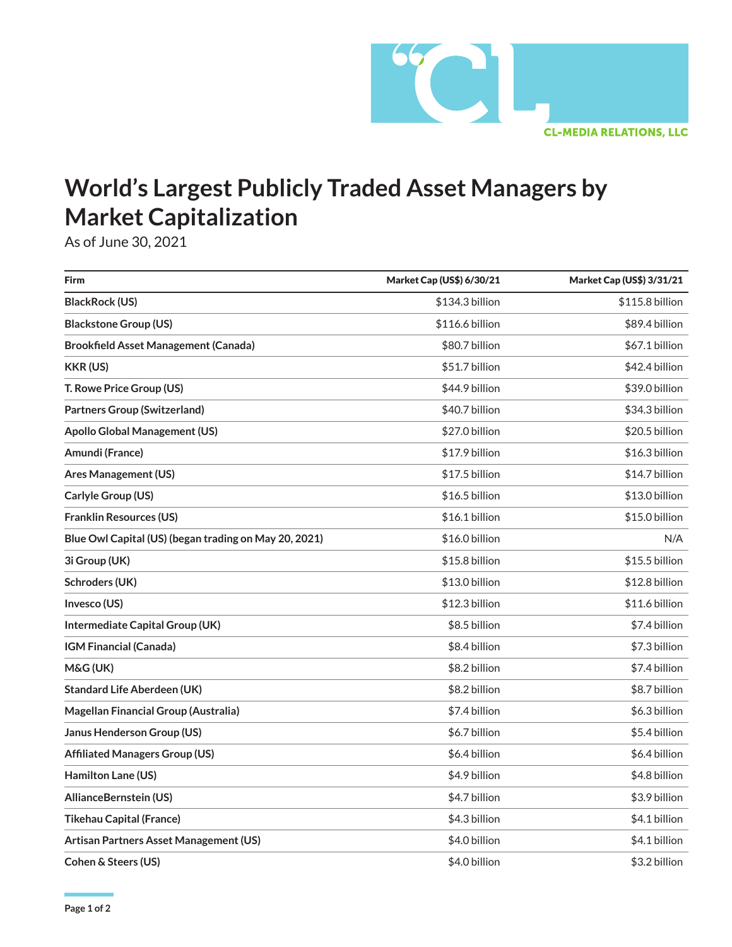

## **World's Largest Publicly Traded Asset Managers by Market Capitalization**

As of June 30, 2021

| <b>Firm</b>                                           | Market Cap (US\$) 6/30/21 | Market Cap (US\$) 3/31/21 |
|-------------------------------------------------------|---------------------------|---------------------------|
| <b>BlackRock (US)</b>                                 | \$134.3 billion           | \$115.8 billion           |
| <b>Blackstone Group (US)</b>                          | \$116.6 billion           | \$89.4 billion            |
| <b>Brookfield Asset Management (Canada)</b>           | \$80.7 billion            | \$67.1 billion            |
| <b>KKR (US)</b>                                       | \$51.7 billion            | \$42.4 billion            |
| T. Rowe Price Group (US)                              | \$44.9 billion            | \$39.0 billion            |
| <b>Partners Group (Switzerland)</b>                   | \$40.7 billion            | \$34.3 billion            |
| <b>Apollo Global Management (US)</b>                  | \$27.0 billion            | \$20.5 billion            |
| Amundi (France)                                       | \$17.9 billion            | \$16.3 billion            |
| <b>Ares Management (US)</b>                           | \$17.5 billion            | \$14.7 billion            |
| Carlyle Group (US)                                    | \$16.5 billion            | \$13.0 billion            |
| <b>Franklin Resources (US)</b>                        | \$16.1 billion            | \$15.0 billion            |
| Blue Owl Capital (US) (began trading on May 20, 2021) | \$16.0 billion            | N/A                       |
| 3i Group (UK)                                         | \$15.8 billion            | \$15.5 billion            |
| Schroders (UK)                                        | \$13.0 billion            | \$12.8 billion            |
| Invesco (US)                                          | \$12.3 billion            | \$11.6 billion            |
| Intermediate Capital Group (UK)                       | \$8.5 billion             | \$7.4 billion             |
| IGM Financial (Canada)                                | \$8.4 billion             | \$7.3 billion             |
| M&G (UK)                                              | \$8.2 billion             | \$7.4 billion             |
| <b>Standard Life Aberdeen (UK)</b>                    | \$8.2 billion             | \$8.7 billion             |
| Magellan Financial Group (Australia)                  | \$7.4 billion             | \$6.3 billion             |
| Janus Henderson Group (US)                            | \$6.7 billion             | \$5.4 billion             |
| <b>Affiliated Managers Group (US)</b>                 | \$6.4 billion             | \$6.4 billion             |
| Hamilton Lane (US)                                    | \$4.9 billion             | \$4.8 billion             |
| AllianceBernstein (US)                                | \$4.7 billion             | \$3.9 billion             |
| <b>Tikehau Capital (France)</b>                       | \$4.3 billion             | \$4.1 billion             |
| Artisan Partners Asset Management (US)                | \$4.0 billion             | \$4.1 billion             |
| Cohen & Steers (US)                                   | \$4.0 billion             | \$3.2 billion             |